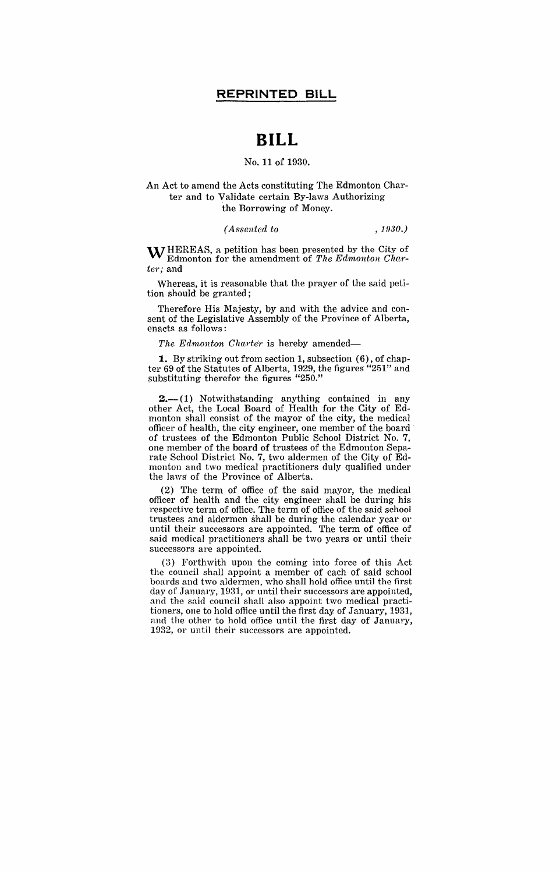# **BILL**

#### No. 11 of 1930.

#### An Act to amend the Acts constituting The Edmonton Charter and to yalidate certain By-laws Authorizing the Borrowing of Money.

#### *(Assented to , 1930.)*

 $\bf{W}$  HEREAS, a petition has been presented by the City of Edmonton for the amendment of The Edmonton Char*teT;* and

Whereas, it is reasonable that the prayer of the said petition should be granted;

Therefore His Majesty, by and with the advice and consent of the Legislative Assembly of the Province of Alberta, enacts as follows:

*he Edmonton Charter* is hereby amended—

**1.** By striking out from section 1, subsection (6), of chapter 69 of the Statutes of Alberta, 1929, the figures' "251" and substituting therefor the figures "250."

 $2 - (1)$  Notwithstanding anything contained in any other Act, the Local Board of Health for the City of Edmonton shall consist of the mayor of the city, the medical officer of health, the city engineer, one member of the board' of trustees of the Edmonton Public School District No.7, one member of the board of trustees of the Edmonton Separate School District No.7, two aldermen of the City of Edmonton and two medical practitioners duly qualified under the laws of the Province of Alberta.

(2) The term of office of the said mayor, the medical officer of health and the city engineer shall be during his respective term of office. The term of office of the said school trustees and aldermen shall be during the calendar year 01' until their successors are appointed. The term of office of said medical practitioners shall be two years or until their successors are appointed.

(3) Forthwith upon the coming into force of this Act the council shall appoint a member of each of said school boards and two aldermen, who shall hold office until the first day of January, 1931, or until their successors are appointed, and the said council shall also appoint two medical practitioners, one to hold office until the first day of January, 1931, and the other to hold office until the first day of January, 1932, or until their successors are appointed.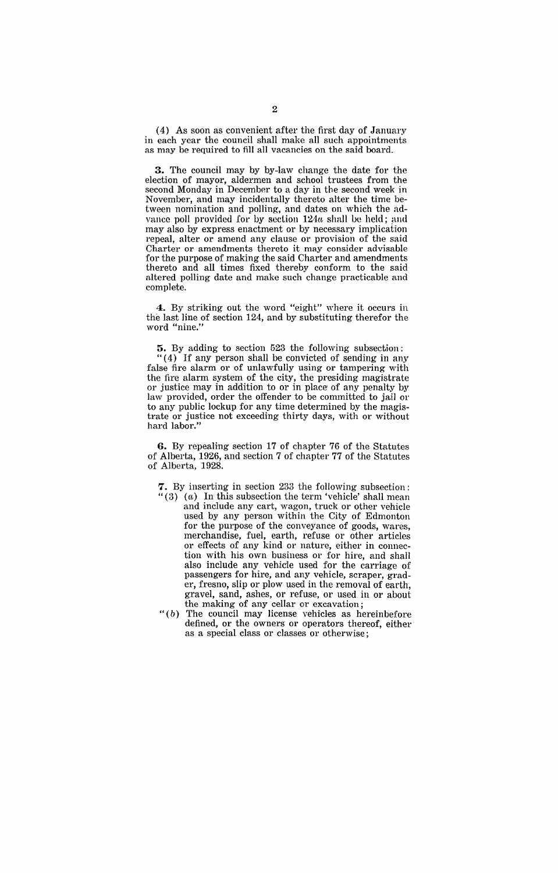(4) As soon as convenient after the first day of January in each year the council shall make all such appointments as may be required to fill all vacancies on the said board.

**3.** The council may by by-law change the date for the election of mayor, aldermen and sehool trustees from the second Monday in December to a day in the second week in November, and may incidentally thereto alter the time between nomination and polling, and dates on which the advance poll provided for by section  $124u$  shall be held; and may also by express enactment or by necessary implication repeal, alter or amend any clause or provision of the said Charter or amendments thereto it may consider advisable for the purpose of making the said Charter and amendments thereto and all times fixed thereby conform to the said altered polling date and make such change practicable and complete.

**4.** By striking out the word "eight" where it occurs in the last line of section 124, and by substituting therefor the word "nine."

**5.** By adding to section 523 the following subsection: " $(4)$  If any person shall be convicted of sending in any false fire alarm or of unlawfully using or tampering with the fire alarm system of the city, the presiding magistrate or justice may in addition to or in place' of any penalty by law provided, order the offender to be committed to jail or to any public lockup for any time determined by the magistrate or justice not exceeding thirty days, with or without hard labor."

**6.** By repealing section 17 of chapter 76 of the Statutes of Alberta, 1926, and section 7 of chapter 77 of the Statutes of Alberta, 1928.

7. By inserting in section 233 the following subsection:

- " $(3)$   $(a)$  In this subsection the term 'vehicle' shall mean and include any cart, wagon, truck or other vehicle used by any person within the City of Edmonton for the purpose of the conveyance of goods, wares, merchandise, fuel, earth, refuse or other articles or effects of any kind or nature, either in connection with his own business or for hire, and shall also include any vehicle used for the carriage of passengers for hire, and any vehicle, scraper, grader, fresno, slip or plow used in the removal of earth, gravel, sand, ashes, or refuse, or used in or about the making of any cellar or excavation;
- " $(b)$  The council may license vehicles as hereinbefore defined, or the owners or operators thereof, either as a special class or classes or otherwise;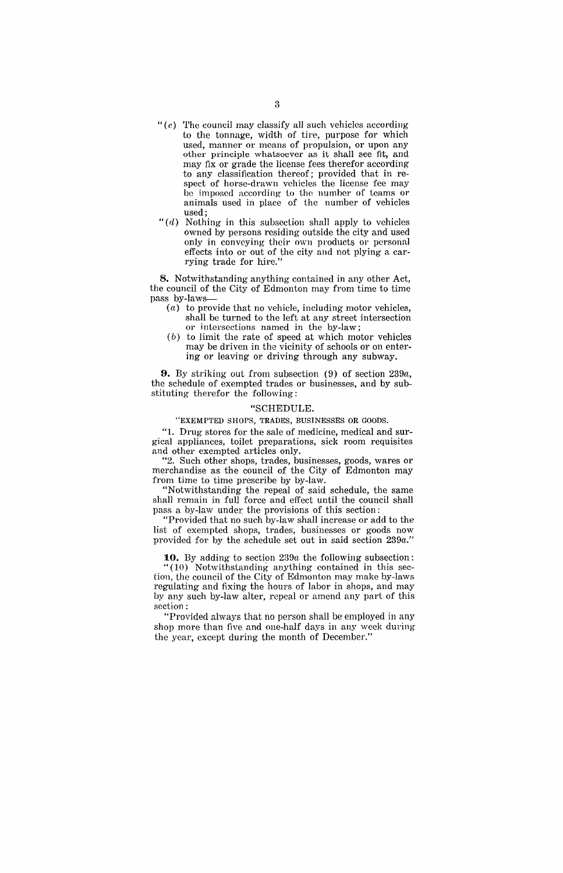- " $(c)$  The council may classify all such vehicles according to the tonnage, width of tire, purpose for which used, manner or means of propulsion, or upon any other principle whatsoever as it shall see fit, and may fix or grade the license fees therefor according to any classification thereof; provided that in respect of horse-drawn vehicles the license fee may be imposed according to the number of teams or animals used in place of the number of vehicles used;
- " $(d)$  Nothing in this subsection shall apply to vehicles owned by persons residing outside the city and used only in conveying their own products or personal effects into or out of the city and not plying a carrying trade for hire."

**8.** Notwithstanding anything contained in any other Act, the council of the City of Edmonton may from time to time pass by-Iaws-

- (a) to provide that no vehicle, including motor vehicles, shall be turned to the left at any street intersection or intersections named in the by-law;
- (b) to limit the rate of speed at which motor vehicles may be driven in the vicinity of schools or on entering or leaving or driving through any subway.

**9.** By striking out from subsection (9) of section *239a,*  the schedule of exempted trades or businesses, and by substituting therefor the following:

#### "SCHEDULE.

"EXEMPTED SHOPS, TRADES, BUSINESSES OR GOODS.

"1. Drug stores for the sale of medicine, medical and surgical appliances, toilet preparations, sick room requisites and other exempted articles only.

"2. Such other shops, trades, businesses, goods, wares or merchandise as the council of the City of Edmonton may from time to time prescribe by by-law.

"Notwithstanding the repeal of said schedule, the same shall remain in full force and effect until the council shall pass a by-law under the provisions of this section:

"Provided that no such by-law shall increase or add to the list of exempted shops, trades, businesses or goods now provided for by the schedule set out in said section *239a."* 

**10.** By adding to section *239a* the following subsection: "(10) Notwithstanding anything contained in this section, the council of the City of Edmonton may make by-laws regulating and fixing the hours of labor in shops, and may by any such by-law alter, repeal or amend any part of this section:

"Provided always that no person shall be' employed in any shop more than five and one-half days in any week during the year, except during the month of December."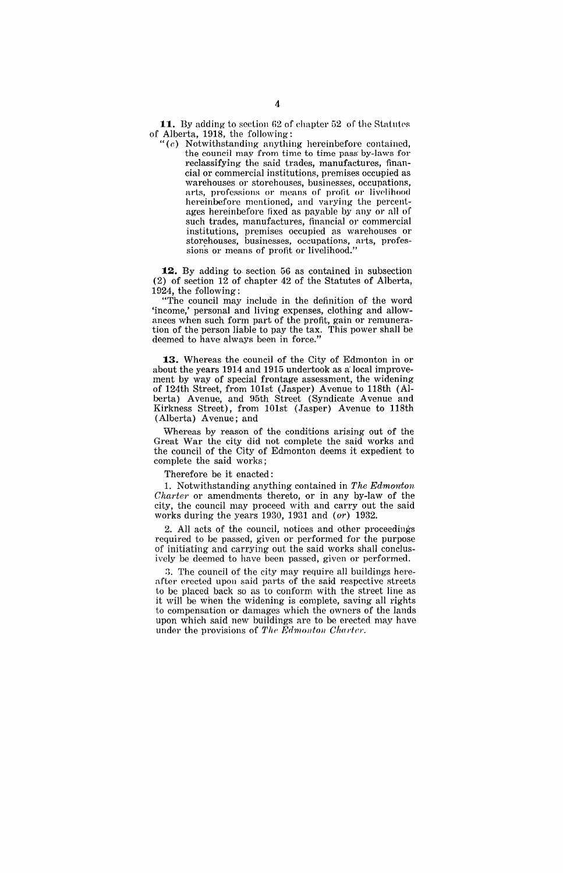**11.** By adding to section 62 of chapter 52 of the Statutes of Alberta, 1918, the following:

" $(e)$  Notwithstanding anything hereinbefore contained, the council may from time to time pass by-laws for reclassifying the said trades, manufactures, financial or commercial institutions, premises occupied as warehouses or storehouses, businesses, occupations, arts, professions or means of profit or livelihood hereinbefore mentioned, and varying the percentages hereinbefore fixed as payable by any or all of such trades, manufactures, financial or commercial institutions, premises occupied as warehouses or storehouses, businesses, occupations, arts, professions or means of profit or livelihood."

**12.** By adding to section 56 as contained in subsection  $(2)$  of section 12 of chapter 42 of the Statutes of Alberta, 1924, the following:

"The council may include in the definition of the word 'income,' personal and living expenses, clothing and allowances when such form part of the profit, gain or remuneration of the person liable to pay the tax, This power shall be deemed to have always been in force."

**13.** Whereas the council of the City of Edmonton in or about the years 1914 and 1915 undertook as a local improvement by way of special frontage assessment, the widening of 124th Street, from 101st (Jasper) Avenue to 118th (Alberta) Avenue, and 95th Street (Syndicate Avenue and Kirkness Street), from 101st (Jasper) Avenue to 118th (Alberta) Avenue; and

Whereas by reason of the conditions arising out of the Great War the city did not complete the said works and the council of the City of Edmonton deems it expedient to complete the said works;

Therefore be it enacted:

1. Notwithstanding anything contained in *The Edmonton Charter* or amendments thereto, or in any by-law of the city, the council may proceed with and carry out the said works during the years 1930, 1931 and (or) *1932.* 

2. All acts of the council, notices and other proceedings required to be passed, given or performed for the purpose of initiating and carrying out the said works shall conclusively be deemed to have been passed, given or performed.

3. The council of the city may require all buildings hereafter erected upon said parts of the said respective streets to be placed back so as to conform with the street line as it will be when the widening is complete, saving all rights to compensation or damages which the owners of the lands upon which said new buildings are to be erected may have under the provisions of *The Edmonton Charter*.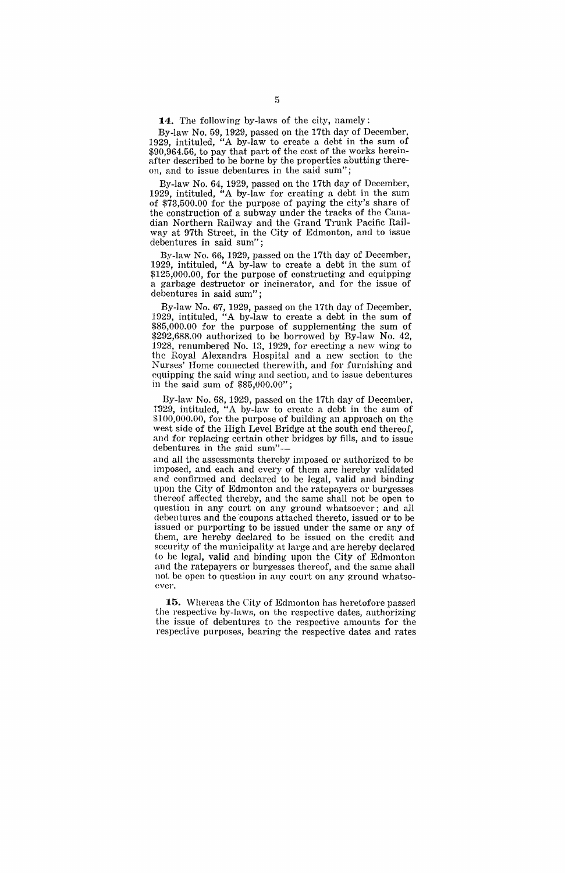**14.** The following by-laws of the city, namely:

By-law No. 59, 1929, passed on the 17th day of December. 1929, intituled, "A by-law to create a debt in the sum of  $$90,964.56$ , to pay that part of the cost of the works hereinafter described to be borne by the properties abutting thereon, and to issue debentures in the said sum";

By-law No. 64, 1929, passed on the 17th day of December, 1929, intituled, "A by-law for creating a debt in the sum of \$73,500.00 for the purpose of paying the city's share of the construction of a subway under the tracks of the Canadian Northern Railway and the Grand Trunk Pacific Railway at 97th Street, in the City of Edmonton, and to issue debentures in said sum";

By-law No. 66, 1929, passed on the 17th day of December, 1929, intituled, "A by-law to create a debt in the sum of \$125,000.00, for the purpose of constructing and equipping a garbage destructor or incinerator, and for the issue of debentures in said sum";

By-law No. 67, 1929, passed on the 17th day of December. 1929, intituled, "A by-law to create a debt in the sum of \$85,000.00 for the purpose of supplementing the sum of \$292,688.00 authorized to be borrowed by By-law No. 42, 1928, renumbered No. 13, 1929, for erecting a new wing to the Royal Alexandra Hospital and a new section to the Nurses' Home connected therewith, and for furnishing and equipping the said wing and section, and to issue debentures in the said sum of \$85,0'00.00";

By-law No. 68, 1929, passed on the 17th day of December, 1929, intituled, "A by-law to create a debt in the sum of \$100,000.00, for the purpose of building an approach on the west side of the High Level Bridge at the south end thereof, and for replacing certain other bridges by fills, and to issue debentures in the said sum"-

and all the assessments thereby imposed or authorized to be imposed, and each and every of them are hereby validated and confirmed and declared to be legal, valid and hinding upon the City of Edmonton and the ratepayers or burgesses thereof affected thereby, and the same shall not be open to question in any court on any ground whatsoever; and all debentures and the 'coupons attached thereto, issued or to be issued or purporting to be issued under the same or any of them, are hereby declared to be issued on the credit and security of the municipality at large and are hereby declared to be legal, valid and binding upon the City of Edmonton and the ratepayers or burgesses thereof, and the same shall not be open to question in any court on any ground whatsoever.

**15.** Whereas the City of Edmonton has heretofore passed the respective by-laws, on the respective dates, authorizing the issue of debentures to the respective amounts for the respective purposes, bearing the respective dates and rates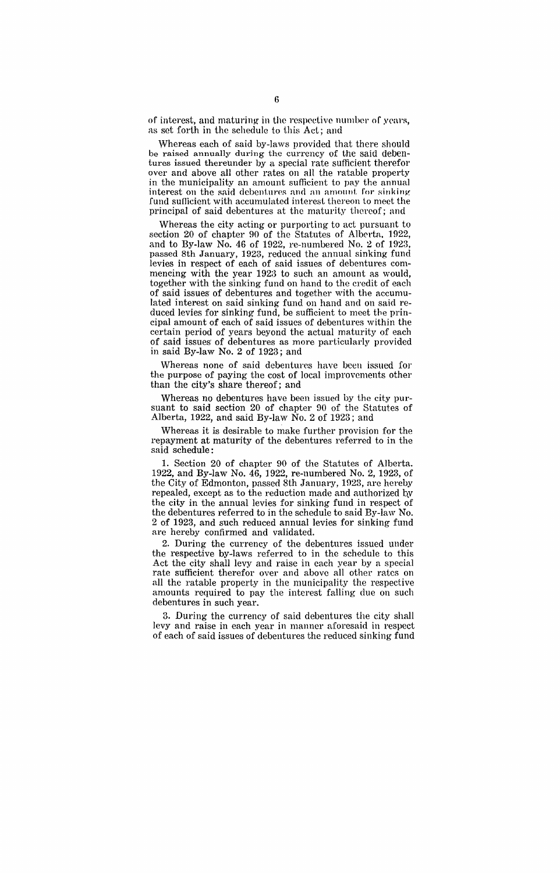of interest, and maturing in the respective number of years, as sct forth in the schedule to this Act; and

Whereas each of said by-laws provided that there should be raised annually during the currency of the said debentures issued thereunder by a special rate sufficient therefor over and above all other rates on all the ratable property in the municipality an amount sufficient to pay the annual interest on the said debentures and an amount for sinking fund sufficient with accumulated interest thereon to meet the principal of said debentures at the maturity thereof; and

Whereas the city acting or purporting to act pursuant to section 20 of chapter 90 of the Statutes of Alberta, 1922, and to By-law No. 46 of 1922, re-numhered No.2 of 1923, passed 8th January, 1923, reduced the annual sinking fund levies in respect of each of said issues of debentures commencing with the year 1923 to such an amount as would, together with the sinking fund on hand to the credit of each of said issues of debentures and together with the accumulated interest on said sinking fund on hand and on said reduced levies for sinking fund, be sufficient to meet the principal amount of each of said issues of debentures within the certain period of years beyond the actual maturity of each of said issues of debentures as more particularly provided in said By-law No.2 of 1923; and

Whereas none of said debentures have been issued for the purpose of paying the cost of local improvements other than the city's share thereof; and

Whereas no debentures have been issued by the city pursuant to said section 20 of chapter 90 of the Statutes of Alberta, 1922, and said By-law No.2 of 1923; and

Whereas it is desirable to make further provision for the repayment at maturity of the debentures referred to in the said schedule:

1. Section 20 of chapter 90 of the Statutes of Alberta. 1922, and By-law No. 46, 1922, re-numbered No.2, 1923, of the City of Edmonton, passed 8th January, 1923, are hereby repealed, except as to the reduction made and authorized by the city in the annual levies for sinking fund in respect of the debentures referred to in the schedule to said By-law No. 2 of 1923, and such reduced annual levies for sinking fund are hereby confirmed and validated.

2. During the currency of the debentures issued under the respective by-laws referred to in the schedule to this Act the city shall levy and raise in each year by n special rate sufficient therefor over and above all other rates on all the ratable property in the municipality the respective amounts required to pay the interest falling due on such debentures in such year.

3. During the currency of said debentures the city shall levy and raise in each year in manner aforesaid in respect of each of said issues of debentures the reduced sinking fund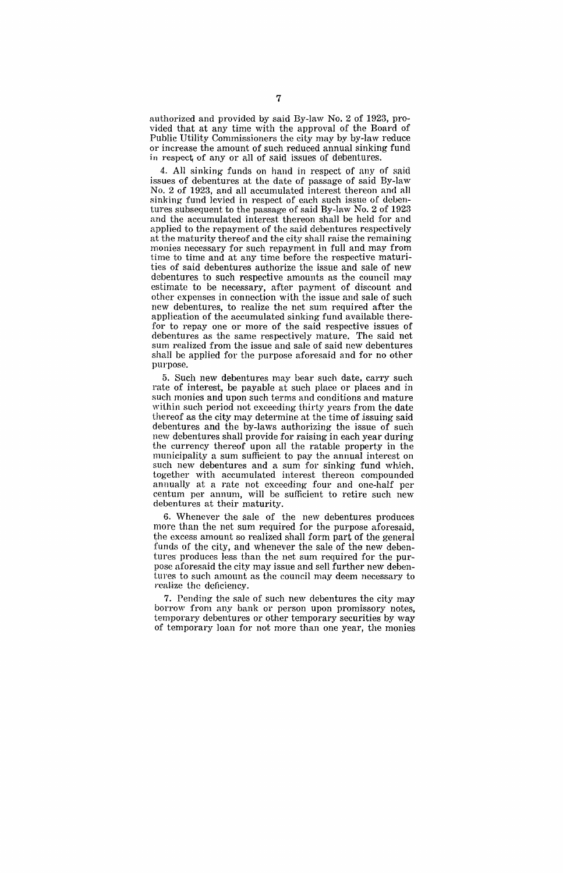authorized and provided by said By-law No.2 of 1923, provided that at any time with the approval of the Board of Public Utility Commissioners the city may by by-law reduce or increase the amount of such reduced annual sinking fund in respect of any or all of said issues of debentures.

4. All sinking funds on hand in respect of any of said issues of debentures at the date of passage of said By-law No.2 of 1923, and all accumulated interest thereon and all sinking- fund levied in respect of each such issue of debentures subsequent to the passage of said By-law No.2 of 1923 and the accumulated interest thereon shall be held for and applied to the repayment of the said debentures respectively at the maturity thereof and the city shall raise the remaining monies necessary for such repayment in full and may from time to time and at any time before the respective maturities of said debentures authorize the issue and sale of new debentures to such respective amounts as the council may estimate to be necessary, after payment of discount and other expenses in connection with the issue and sale of such new debentures, to realize the net sum required after the application of the accumulated sinking fund available therefor to repay one or more of the said respective issues of debentures as the same respectively mature. The said net sum realized from the issue and sale of said new debentures shall be applied for the purpose aforesaid and for no other purpose.

5. Such new debentures may bear such date, carry such rate of interest, be payable at such place or places and in such monies and upon such terms and conditions and mature within such period not exceeding thirty years from the date thereof as the city may determine at the time of issuing said debentures and the by-laws authorizing the issue of such new debentures shall provide for raising in each year during the currency thereof upon all the ratable property in the municipality a sum sufficient to pay the annual interest on such new debentures and a sum for sinking fund which. together with accumulated interest thereon compounded annually at a rate not exceeding four and one-half per centum per annum, will be sufficient to retire such new debentures at their maturity.

6. Whenever the sale of the new debentures produces more than the net sum required for the purpose aforesaid, the excess amount so realized shall form part of the general funds of the city, and whenever the sale of the new debentures produces less than the net sum required for the purpose aforesaid the city may issue and sell further new debentures to such amount as the council may deem necessary to realize the deficiency.

7. Pending the sale of such new debentures the city may borrow from any bank or person upon promissory notes, temporary debentures or other temporary securities by way of temporary loan for not more than one year, the monies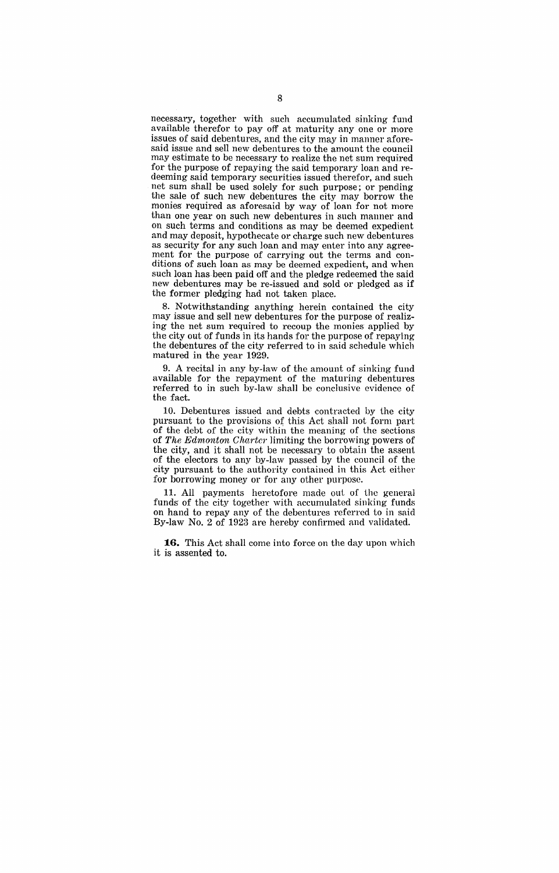necessary, together with such accumulated sinking fund available therefor to payoff at maturity anyone or more issues of said debentures, and the city may in manner aforesaid issue and sell new debentures to the amount the council may estimate to be necessary to realize the net sum required for the purpose of repaying the said temporary loan and redeeming said temporary securities issued therefor, and such net sum shall be used solely for such purpose; or pending the sale of such new debentures the city may borrow the monies required as aforesaid by way of loan for not more than one year on such new debentures in such manner and on such terms and conditions as may be deemed expedient and may deposit, hypothecate or charge such new debentures as security for any such loan and may enter into any agreement for the purpose of carrying out the terms and conditions of such loan as may be deemed expedient, and when such loan has been paid off and the pledge redeemed the said new debentures may be re-issued and sold or pledged as if the former pledging had not taken place.

8. Notwithstanding anything herein contained the city may issue and sell new debentures for the purpose of realizing the net sum required to recoup the monies applied by the city out of funds in its hands for the purpose of repaying the debentures of the city referred to in said schedule which matured in the year 1929.

9. A recital in any by-law of the amount of sinking fund available for the repayment of the maturing debentures referred to in such by-law shall be conclusive evidence of the fact.

10. Debentures issued and debts contracted by the city pursuant to the provisions of this Act shall not form part of the debt of the city within the meaning of the sections of *The Edmonton Charter* limiting the borrowing powers of the city, and it shall not be necessary to obtain the assent of the electors to any by-law passed by the council of the city pursuant to the authority contained in this Act either for borrowing money or for any other purpose.

**11.** All payments heretofore made out of the general funds of the city together with accumulated sinking funds on hand to repay any of the debentures referred to in said By-law No.2 of 1923 are hereby confirmed and validated.

**16.** This Act shall come into force on the day upon which it is assented to.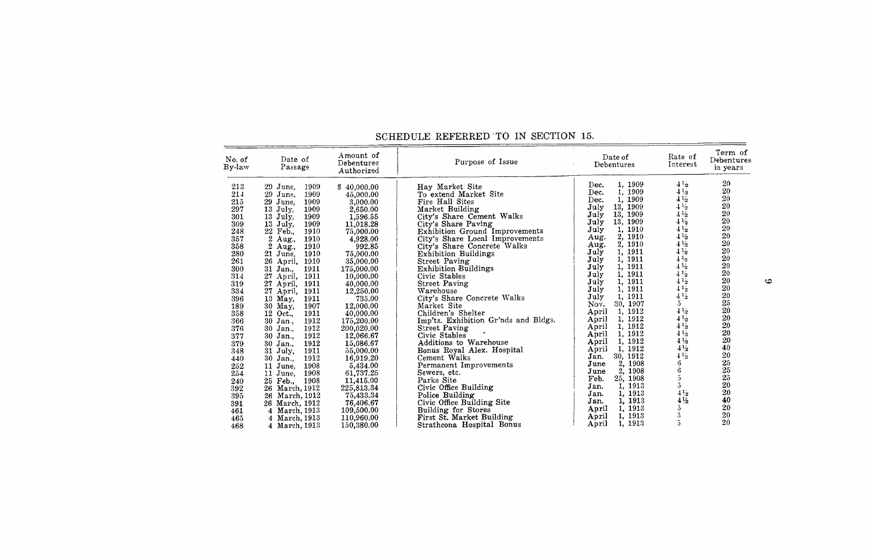| Date of<br>Debentures                                                                                                                                                                                                                                                                                                                                                                                                                                                                                                                                                                                                                               | Purpose of Issue                                                                                                                                                                                                                                                                                                                                                                                                                                                                                                                                                                                                                                                                                                                                                                                             | Amount of<br>Debentures<br>Authorized                                                                                                                                                                                                                                                                                                                                                                                     | Date of<br>Passage                                                                                                                                                                                                                                                                                                                                                                                                                                                                                                                                                                                                                                                                | No. of<br>By-law                                                                                                                                                                                                             |
|-----------------------------------------------------------------------------------------------------------------------------------------------------------------------------------------------------------------------------------------------------------------------------------------------------------------------------------------------------------------------------------------------------------------------------------------------------------------------------------------------------------------------------------------------------------------------------------------------------------------------------------------------------|--------------------------------------------------------------------------------------------------------------------------------------------------------------------------------------------------------------------------------------------------------------------------------------------------------------------------------------------------------------------------------------------------------------------------------------------------------------------------------------------------------------------------------------------------------------------------------------------------------------------------------------------------------------------------------------------------------------------------------------------------------------------------------------------------------------|---------------------------------------------------------------------------------------------------------------------------------------------------------------------------------------------------------------------------------------------------------------------------------------------------------------------------------------------------------------------------------------------------------------------------|-----------------------------------------------------------------------------------------------------------------------------------------------------------------------------------------------------------------------------------------------------------------------------------------------------------------------------------------------------------------------------------------------------------------------------------------------------------------------------------------------------------------------------------------------------------------------------------------------------------------------------------------------------------------------------------|------------------------------------------------------------------------------------------------------------------------------------------------------------------------------------------------------------------------------|
| 1, 1909<br>Dec.<br>1, 1909<br>Dec.<br>1, 1909<br>Dec.<br>13, 1909<br>July<br>13, 1909<br>July<br>July<br>13, 1909<br>1, 1910<br>July<br>2, 1910<br>Aug.<br>2, 1910<br>Aug.<br>1, 1911<br>July<br>1, 1911<br>July<br>1, 1911<br>July<br>1, 1911<br>July<br>1, 1911<br>July<br>1, 1911<br>July<br>1911<br>July<br>30, 1907<br>Nov.<br>1, 1912<br>April<br>1, 1912<br>April<br>1, 1912<br>April<br>1, 1912<br>April<br>1, 1912<br>April<br>1, 1912<br>April<br>30, 1912<br>Jan.<br>1908<br>2,<br>June<br>1908<br>2.<br>June<br>25.<br>1908<br>Feb.<br>1913<br>1.<br>Jan.<br>1, 1913<br>Jan.<br>1, 1913<br>Jan.<br>1, 1913<br>April<br>1, 1913<br>April | Hav Market Site<br>To extend Market Site<br>Fire Hall Sites<br>Market Building<br>City's Share Cement Walks<br>City's Share Paving<br><b>Exhibition Ground Improvements</b><br>City's Share Local Improvements<br>City's Share Concrete Walks<br><b>Exhibition Buildings</b><br><b>Street Paving</b><br><b>Exhibition Buildings</b><br>Civic Stables<br><b>Street Paving</b><br>Warehouse<br>City's Share Concrete Walks<br>Market Site<br>Children's Shelter<br>Imp'ts. Exhibition Gr'nds and Bldgs.<br><b>Street Paving</b><br>Civic Stables<br>Additions to Warehouse<br>Bonus Royal Alex. Hospital<br>Cement Walks<br>Permanent Improvements<br>Sewers, etc.<br>Parks Site<br>Civic Office Building<br>Police Building<br>Civic Office Building Site<br>Building for Stores<br>First St. Market Building | \$40,000.00<br>45,000.00<br>3,000.00<br>2,650.00<br>1,596.55<br>11,018.28<br>75,000.00<br>4,928.00<br>992.85<br>75,000.00<br>35,000.00<br>175,000.00<br>10,000.00<br>40,000.00<br>12,250.00<br>735.00<br>12,000.00<br>40,000.00<br>175,200.00<br>200,020.00<br>12,066.67<br>15,086.67<br>55,000.00<br>16,919.20<br>5,434.00<br>61,737.25<br>11,415.00<br>225,813.34<br>75,433.34<br>76,406.67<br>109,500.00<br>110,960.00 | 29 June,<br>1909<br>29 June,<br>1909<br>29 June.<br>1909<br>13 July,<br>1909<br>1909<br>13 July,<br>13 July.<br>1909<br>22 Feb.,<br>1910<br>2<br>1910<br>Aug.,<br>$\mathbf{2}$<br>1910<br>Aug.,<br>21<br>1910<br>June,<br>26<br>1910<br>April,<br>31<br>1911<br>Jan.,<br>27<br>1911<br>April,<br>27<br>1911<br>April,<br>27 April,<br>1911<br>13 May,<br>1911<br>30 May,<br>1907<br>Oct.,<br>1911<br>12<br>1912<br>30 Jan.,<br>1912<br>30 Jan<br>1912<br>30 Jan.,<br>1912<br>30 Jan.,<br>31 July,<br>1911<br>30 Jan.,<br>1912<br>1908<br>11 June,<br>1908<br>11 June,<br>1908<br>25 Feb.,<br>26 March, 1912<br>26 March, 1912<br>26 March, 1912<br>4 March, 1913<br>4 March, 1913 | 213<br>214<br>215<br>297<br>301<br>309<br>248<br>357<br>358<br>280<br>261<br>300<br>314<br>319<br>334<br>396<br>189<br>358<br>366<br>376<br>377<br>379<br>348<br>440<br>252<br>254<br>240<br>392<br>395<br>391<br>461<br>465 |

#### SCHEDULE REFERRED 'TO IN SECTION 15.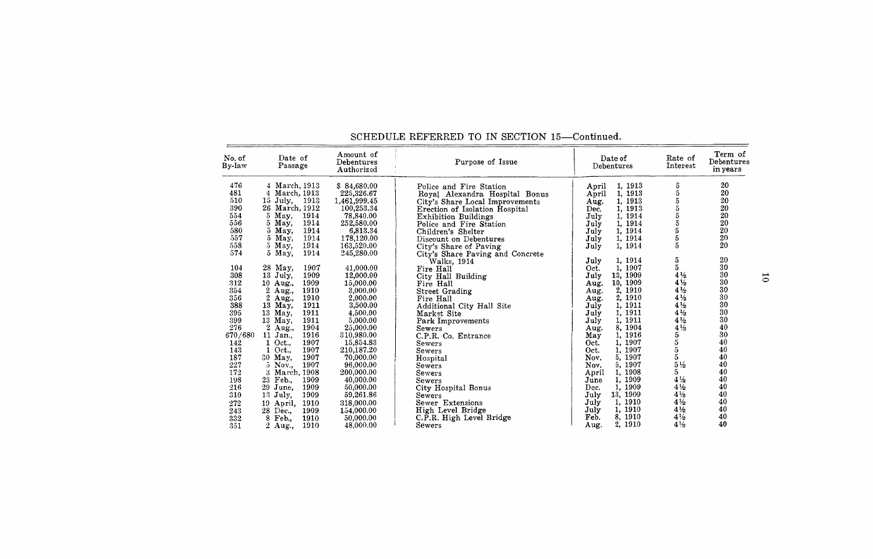# SCHEDULE REFERRED TO IN SECTION 15-Continued.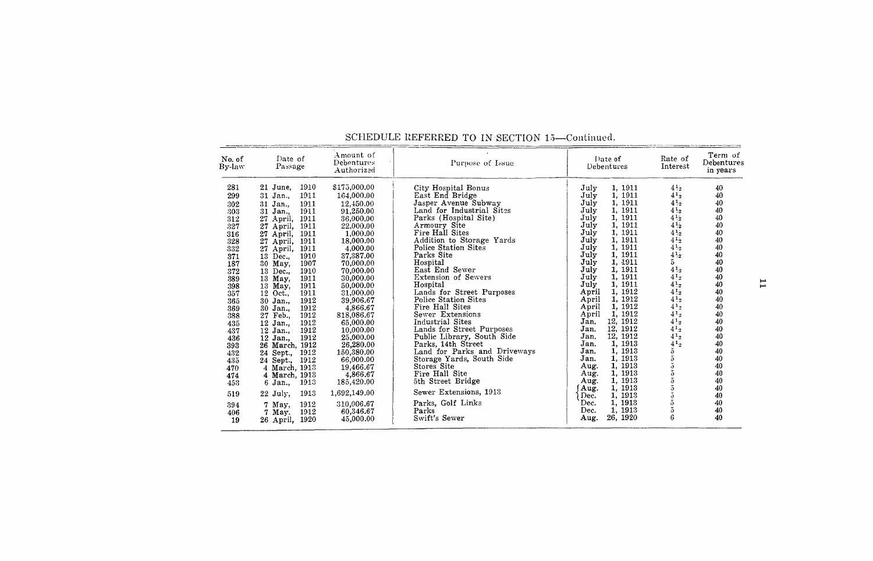| No. of<br>By-law                                                                                                                  | Date of<br>Passage                                                                                                                                                                                                                                                                                                                                                                                      | Amount of<br>Debentures<br>Authorized                                                                                                                                                                                                                              | Purpose of Issue                                                                                                                                                                                                                                                                                                                                                                                                                                | Date of<br>Debentures                                                                                                                                                                                                                                                                                                                                                                          | Rate of<br>Interest                                                                                                                                                                                                                                                                                             | Term of<br>Debentures<br>in years                                                                                    |
|-----------------------------------------------------------------------------------------------------------------------------------|---------------------------------------------------------------------------------------------------------------------------------------------------------------------------------------------------------------------------------------------------------------------------------------------------------------------------------------------------------------------------------------------------------|--------------------------------------------------------------------------------------------------------------------------------------------------------------------------------------------------------------------------------------------------------------------|-------------------------------------------------------------------------------------------------------------------------------------------------------------------------------------------------------------------------------------------------------------------------------------------------------------------------------------------------------------------------------------------------------------------------------------------------|------------------------------------------------------------------------------------------------------------------------------------------------------------------------------------------------------------------------------------------------------------------------------------------------------------------------------------------------------------------------------------------------|-----------------------------------------------------------------------------------------------------------------------------------------------------------------------------------------------------------------------------------------------------------------------------------------------------------------|----------------------------------------------------------------------------------------------------------------------|
| 281<br>299<br>302<br>303<br>312<br>327<br>316<br>328<br>332<br>371<br>187<br>372<br>389<br>398<br>357<br>365<br>369<br>388<br>435 | 1910<br>21 June,<br>1911<br>31 Jan.,<br>1911<br>31 Jan.,<br>1911<br>31 Jan.,<br>27 April,<br>1911<br>1911<br>27<br>April,<br>1911<br>27<br>April,<br>1911<br>27<br>April,<br>1911<br>27 April,<br>1910<br>13 Dec.,<br>1907<br>30 May,<br>1910<br>13 Dec.,<br>1911<br>13 May,<br>1911<br>13 May,<br>1911<br>12 Oct<br>1912<br>30 Jan.,<br>1912<br>30 Jan<br>1912<br>27 Feb.,<br>1912<br>12 Jan.,<br>1912 | \$175,000.00<br>164,000.00<br>12,450.00<br>91,250.00<br>36,000.00<br>22,000.00<br>1,000.00<br>18,000.00<br>4.000.00<br>37,387.00<br>70,000.00<br>70,000.00<br>30,000.00<br>50,000.00<br>31,000.00<br>39,906.67<br>4,866.67<br>818,086.67<br>65,000.00<br>10,000.00 | City Hospital Bonus<br>East End Bridge<br>Jasper Avenue Subway<br>Land for Industrial Sites<br>Parks (Hospital Site)<br>Armoury Site<br>Fire Hall Sites<br>Addition to Storage Yards<br>Police Station Sites<br>Parks Site<br>Hospital<br>East End Sewer<br><b>Extension of Sewers</b><br>Hospital<br>Lands for Street Purposes<br>Police Station Sites<br>Fire Hall Sites<br>Sewer Extensions<br>Industrial Sites<br>Lands for Street Purposes | 1, 1911<br>July<br>1, 1911<br>July<br>1, 1911<br>July<br>1, 1911<br>July<br>1, 1911<br>July<br>1, 1911<br>July<br>July<br>1, 1911<br>July<br>1, 1911<br>July<br>1, 1911<br>1, 1911<br>July<br>1, 1911<br>July<br>July<br>1, 1911<br>1, 1911<br>July<br>1, 1911<br>July<br>1, 1912<br>April<br>1, 1912<br>April<br>1, 1912<br>April<br>1, 1912<br>April<br>12, 1912<br>Jan.<br>12, 1912<br>Jan. | $4^{1.2}$<br>$4^{1}2$<br>$4^{1}2$<br>$4^{1}_{2}$<br>$4^{1.2}$<br>$4^{1/2}$<br>$4^{1/2}$<br>$4^{1}$ <sup>2</sup><br>$4^{1}_{2}$<br>$4\,1_2$<br>$\bf{5}$<br>$4^{1}_{2}$<br>$4^{1}$ <sub>2</sub><br>$4^{1}2$<br>$4^{1}_{2}$<br>$4^{1}2$<br>$4^{1}$ <sub>2</sub><br>$4^{1}2$<br>$4^{1}_{2}$<br>$4^{1}$ <sub>2</sub> | 40<br>40<br>40<br>40<br>40<br>40<br>40<br>40<br>40<br>40<br>40<br>40<br>40<br>40<br>40<br>40<br>40<br>40<br>40<br>40 |
| 437<br>436<br>393<br>432<br>435<br>470<br>474<br>453<br>519<br>394<br>406<br>19                                                   | 12 Jan.,<br>1912<br>12 Jan.,<br>26 March, 1912<br>1912<br>24 Sept.,<br>1912<br>24 Sept.,<br>4 March, 1913<br>4 March, 1913<br>1913<br>6 Jan.,<br>1913<br>$22$ July,<br>1912<br>7 May,<br>1912<br>7 May.<br>1920<br>26 April,                                                                                                                                                                            | 25,000.00<br>26,280.00<br>150,380.00<br>66,000.00<br>19,466.67<br>4,866.67<br>185,420.00<br>1,692,149.00<br>310,006.67<br>60,346.67<br>45,000.00                                                                                                                   | Public Library, South Side<br>Parks, 14th Street<br>Land for Parks and Driveways<br>Storage Yards, South Side<br>Stores Site<br>Fire Hall Site<br>5th Street Bridge<br>Sewer Extensions, 1913<br>Parks, Golf Links<br>Parks<br>Swift's Sewer                                                                                                                                                                                                    | 12, 1912<br>Jan.<br>1, 1913<br>Jan.<br>1, 1913<br>Jan.<br>1, 1913<br>Jan.<br>1, 1913<br>Aug.<br>1, 1913<br>Aug.<br>1, 1913<br>Aug.<br>1, 1913<br>Aug.<br>1, 1913<br>Dec.<br>1, 1913<br>Dec.<br>1, 1913<br>Dec.<br>26, 1920<br>Aug.                                                                                                                                                             | $4^{1}$ <sub>2</sub><br>$4^{1}$ <sub>2</sub><br>$\bar{\mathfrak{d}}$<br>こうこうこ<br>õ<br>6                                                                                                                                                                                                                         | 40<br>40<br>40<br>40<br>40<br>40<br>40<br>40<br>40<br>40<br>40<br>40                                                 |

#### SCHEDULE REFERRED TO IN SECTION 15-Continued.